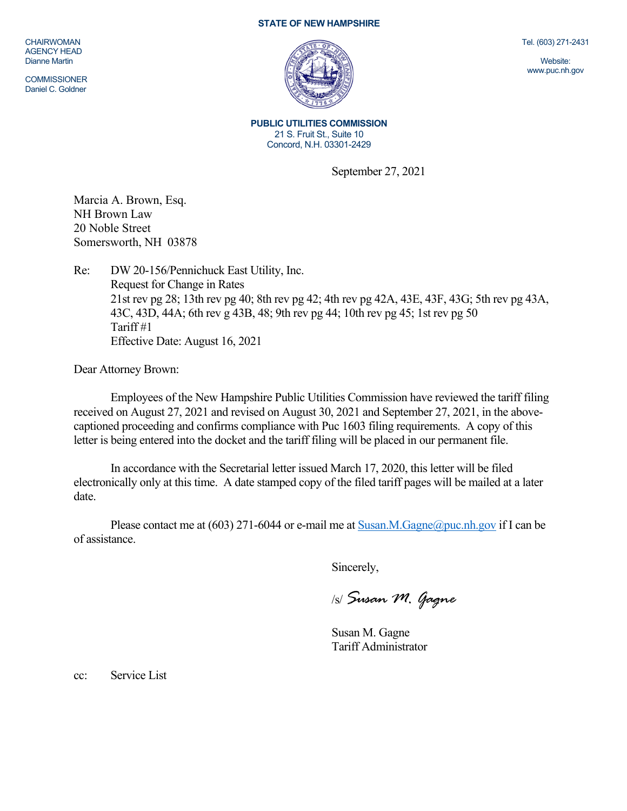## **STATE OF NEW HAMPSHIRE**

CHAIRWOMAN AGENCY HEAD Dianne Martin

**COMMISSIONER** Daniel C. Goldner



Tel. (603) 271-2431

Website: www.puc.nh.gov

**PUBLIC UTILITIES COMMISSION**  21 S. Fruit St., Suite 10 Concord, N.H. 03301-2429

September 27, 2021

Marcia A. Brown, Esq. NH Brown Law 20 Noble Street Somersworth, NH 03878

Re: DW 20-156/Pennichuck East Utility, Inc. Request for Change in Rates 21st rev pg 28; 13th rev pg 40; 8th rev pg 42; 4th rev pg 42A, 43E, 43F, 43G; 5th rev pg 43A, 43C, 43D, 44A; 6th rev g 43B, 48; 9th rev pg 44; 10th rev pg 45; 1st rev pg 50 Tariff #1 Effective Date: August 16, 2021

Dear Attorney Brown:

Employees of the New Hampshire Public Utilities Commission have reviewed the tariff filing received on August 27, 2021 and revised on August 30, 2021 and September 27, 2021, in the abovecaptioned proceeding and confirms compliance with Puc 1603 filing requirements. A copy of this letter is being entered into the docket and the tariff filing will be placed in our permanent file.

In accordance with the Secretarial letter issued March 17, 2020, this letter will be filed electronically only at this time. A date stamped copy of the filed tariff pages will be mailed at a later date.

Please contact me at (603) 271-6044 or e-mail me at Susan.M.Gagne@puc.nh.gov if I can be of assistance.

Sincerely,

/s/ *Susan M. Gagne*

Susan M. Gagne Tariff Administrator

cc: Service List